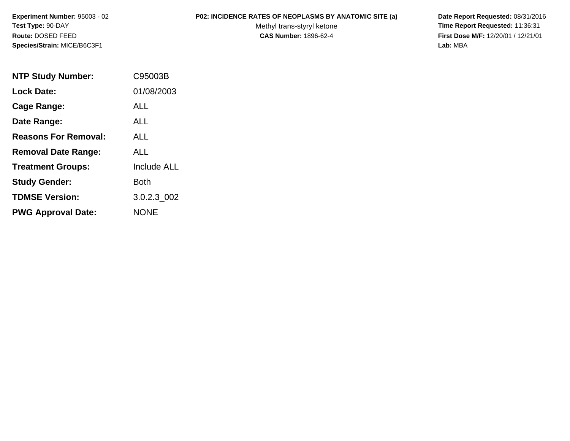**Experiment Number:** 95003 - 02**Test Type:** 90-DAY**Route:** DOSED FEED**Species/Strain:** MICE/B6C3F1

## **P02: INCIDENCE RATES OF NEOPLASMS BY ANATOMIC SITE (a) Date Report Requested:** 08/31/2016

Methyl trans-styryl ketone<br>CAS Number: 1896-62-4

 **Time Report Requested:** 11:36:31 **First Dose M/F:** 12/20/01 / 12/21/01<br>Lab: MBA **Lab:** MBA

| <b>NTP Study Number:</b>    | C95003B            |
|-----------------------------|--------------------|
| <b>Lock Date:</b>           | 01/08/2003         |
| <b>Cage Range:</b>          | ALL                |
| Date Range:                 | ALL                |
| <b>Reasons For Removal:</b> | ALL                |
| <b>Removal Date Range:</b>  | ALL                |
| <b>Treatment Groups:</b>    | <b>Include ALL</b> |
| <b>Study Gender:</b>        | Both               |
| <b>TDMSE Version:</b>       | 3.0.2.3 002        |
| <b>PWG Approval Date:</b>   | NONE               |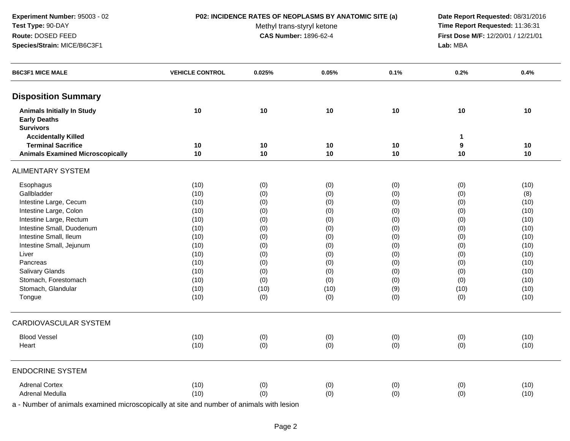**Experiment Number:** 95003 - 02**Test Type:** 90-DAY**Route:** DOSED FEED**Species/Strain:** MICE/B6C3F1

## **P02: INCIDENCE RATES OF NEOPLASMS BY ANATOMIC SITE (a) Date Report Requested:** 08/31/2016

Methyl trans-styryl ketone<br>CAS Number: 1896-62-4

 **Time Report Requested:** 11:36:31 **First Dose M/F:** 12/20/01 / 12/21/01<br>Lab: MBA **Lab:** MBA

| <b>B6C3F1 MICE MALE</b>                                              | <b>VEHICLE CONTROL</b> | 0.025%   | 0.05%    | 0.1%       | 0.2%                   | 0.4%     |
|----------------------------------------------------------------------|------------------------|----------|----------|------------|------------------------|----------|
| <b>Disposition Summary</b>                                           |                        |          |          |            |                        |          |
| <b>Animals Initially In Study</b><br><b>Early Deaths</b>             | 10                     | 10       | 10       | 10         | 10                     | 10       |
| <b>Survivors</b>                                                     |                        |          |          |            |                        |          |
| <b>Accidentally Killed</b>                                           |                        |          |          |            | $\mathbf{1}$           |          |
| <b>Terminal Sacrifice</b><br><b>Animals Examined Microscopically</b> | 10<br>10               | 10<br>10 | 10<br>10 | 10<br>10   | $\boldsymbol{9}$<br>10 | 10<br>10 |
|                                                                      |                        |          |          |            |                        |          |
| <b>ALIMENTARY SYSTEM</b>                                             |                        |          |          |            |                        |          |
| Esophagus                                                            | (10)                   | (0)      | (0)      | (0)        | (0)                    | (10)     |
| Gallbladder                                                          | (10)                   | (0)      | (0)      | (0)        | (0)                    | (8)      |
| Intestine Large, Cecum                                               | (10)                   | (0)      | (0)      | (0)        | (0)                    | (10)     |
| Intestine Large, Colon                                               | (10)                   | (0)      | (0)      | (0)        | (0)                    | (10)     |
| Intestine Large, Rectum                                              | (10)                   | (0)      | (0)      | (0)        | (0)                    | (10)     |
| Intestine Small, Duodenum                                            | (10)                   | (0)      | (0)      | (0)        | (0)                    | (10)     |
| Intestine Small, Ileum                                               | (10)                   | (0)      | (0)      | (0)        | (0)                    | (10)     |
| Intestine Small, Jejunum                                             | (10)                   | (0)      | (0)      | (0)        | (0)                    | (10)     |
| Liver                                                                | (10)                   | (0)      | (0)      | (0)        | (0)                    | (10)     |
| Pancreas                                                             | (10)                   | (0)      | (0)      | (0)        | (0)                    | (10)     |
| Salivary Glands                                                      | (10)                   | (0)      | (0)      | (0)        | (0)                    | (10)     |
| Stomach, Forestomach                                                 | (10)                   | (0)      | (0)      | (0)        | (0)                    | (10)     |
| Stomach, Glandular                                                   | (10)                   | (10)     | (10)     | (9)        | (10)                   | (10)     |
| Tongue                                                               | (10)                   | (0)      | (0)      | (0)        | (0)                    | (10)     |
| CARDIOVASCULAR SYSTEM                                                |                        |          |          |            |                        |          |
| <b>Blood Vessel</b>                                                  | (10)                   | (0)      | (0)      | (0)        | (0)                    | (10)     |
| Heart                                                                | (10)                   | (0)      | (0)      | (0)        | (0)                    | (10)     |
| <b>ENDOCRINE SYSTEM</b>                                              |                        |          |          |            |                        |          |
| <b>Adrenal Cortex</b>                                                | (10)                   | (0)      | (0)      |            | (0)                    | (10)     |
| Adrenal Medulla                                                      | (10)                   | (0)      | (0)      | (0)<br>(0) | (0)                    | (10)     |
|                                                                      |                        |          |          |            |                        |          |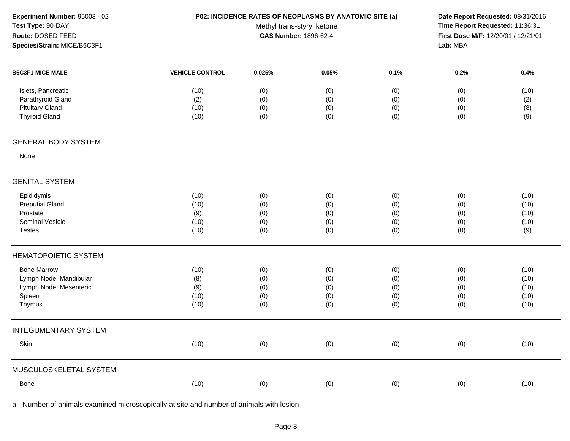| Experiment Number: 95003 - 02<br>Test Type: 90-DAY |                        |                                                            | P02: INCIDENCE RATES OF NEOPLASMS BY ANATOMIC SITE (a) |      | Date Report Requested: 08/31/2016<br>Time Report Requested: 11:36:31 |      |  |  |
|----------------------------------------------------|------------------------|------------------------------------------------------------|--------------------------------------------------------|------|----------------------------------------------------------------------|------|--|--|
| Route: DOSED FEED                                  |                        | Methyl trans-styryl ketone<br><b>CAS Number: 1896-62-4</b> |                                                        |      | First Dose M/F: 12/20/01 / 12/21/01                                  |      |  |  |
| Species/Strain: MICE/B6C3F1                        |                        |                                                            |                                                        |      | Lab: MBA                                                             |      |  |  |
| <b>B6C3F1 MICE MALE</b>                            | <b>VEHICLE CONTROL</b> | 0.025%                                                     | 0.05%                                                  | 0.1% | 0.2%                                                                 | 0.4% |  |  |
| Islets, Pancreatic                                 | (10)                   | (0)                                                        | (0)                                                    | (0)  | (0)                                                                  | (10) |  |  |
| Parathyroid Gland                                  | (2)                    | (0)                                                        | (0)                                                    | (0)  | (0)                                                                  | (2)  |  |  |
| <b>Pituitary Gland</b>                             | (10)                   | (0)                                                        | (0)                                                    | (0)  | (0)                                                                  | (8)  |  |  |
| <b>Thyroid Gland</b>                               | (10)                   | (0)                                                        | (0)                                                    | (0)  | (0)                                                                  | (9)  |  |  |
| <b>GENERAL BODY SYSTEM</b>                         |                        |                                                            |                                                        |      |                                                                      |      |  |  |
| None                                               |                        |                                                            |                                                        |      |                                                                      |      |  |  |
| <b>GENITAL SYSTEM</b>                              |                        |                                                            |                                                        |      |                                                                      |      |  |  |
| Epididymis                                         | (10)                   | (0)                                                        | (0)                                                    | (0)  | (0)                                                                  | (10) |  |  |
| <b>Preputial Gland</b>                             | (10)                   | (0)                                                        | (0)                                                    | (0)  | (0)                                                                  | (10) |  |  |
| Prostate                                           | (9)                    | (0)                                                        | (0)                                                    | (0)  | (0)                                                                  | (10) |  |  |
| <b>Seminal Vesicle</b>                             | (10)                   | (0)                                                        | (0)                                                    | (0)  | (0)                                                                  | (10) |  |  |
| <b>Testes</b>                                      | (10)                   | (0)                                                        | (0)                                                    | (0)  | (0)                                                                  | (9)  |  |  |
| <b>HEMATOPOIETIC SYSTEM</b>                        |                        |                                                            |                                                        |      |                                                                      |      |  |  |
| <b>Bone Marrow</b>                                 | (10)                   | (0)                                                        | (0)                                                    | (0)  | (0)                                                                  | (10) |  |  |
| Lymph Node, Mandibular                             | (8)                    | (0)                                                        | (0)                                                    | (0)  | (0)                                                                  | (10) |  |  |
| Lymph Node, Mesenteric                             | (9)                    | (0)                                                        | (0)                                                    | (0)  | (0)                                                                  | (10) |  |  |
| Spleen                                             | (10)                   | (0)                                                        | (0)                                                    | (0)  | (0)                                                                  | (10) |  |  |
| Thymus                                             | (10)                   | (0)                                                        | (0)                                                    | (0)  | (0)                                                                  | (10) |  |  |
| <b>INTEGUMENTARY SYSTEM</b>                        |                        |                                                            |                                                        |      |                                                                      |      |  |  |
| Skin                                               | (10)                   | (0)                                                        | (0)                                                    | (0)  | (0)                                                                  | (10) |  |  |
| MUSCULOSKELETAL SYSTEM                             |                        |                                                            |                                                        |      |                                                                      |      |  |  |
| Bone                                               | (10)                   | (0)                                                        | (0)                                                    | (0)  | (0)                                                                  | (10) |  |  |
|                                                    |                        |                                                            |                                                        |      |                                                                      |      |  |  |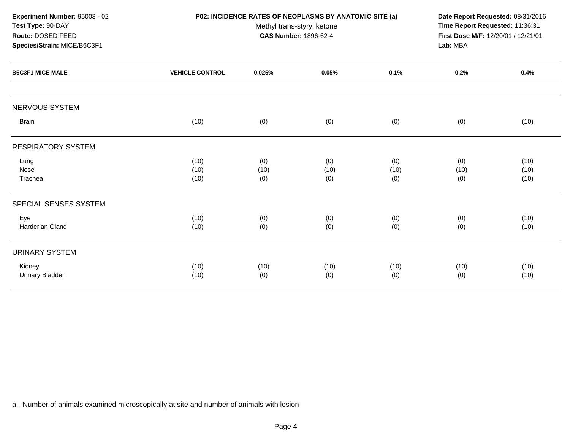| Experiment Number: 95003 - 02<br>Test Type: 90-DAY                          |                        | Methyl trans-styryl ketone | <b>P02: INCIDENCE RATES OF NEOPLASMS BY ANATOMIC SITE (a)</b><br><b>CAS Number: 1896-62-4</b> |                    |                    | Date Report Requested: 08/31/2016<br>Time Report Requested: 11:36:31<br>First Dose M/F: 12/20/01 / 12/21/01<br>Lab: MBA<br>0.2%<br>0.4% |  |  |
|-----------------------------------------------------------------------------|------------------------|----------------------------|-----------------------------------------------------------------------------------------------|--------------------|--------------------|-----------------------------------------------------------------------------------------------------------------------------------------|--|--|
| Route: DOSED FEED<br>Species/Strain: MICE/B6C3F1<br><b>B6C3F1 MICE MALE</b> |                        |                            |                                                                                               |                    |                    | (10)<br>(10)<br>(10)<br>(10)<br>(10)<br>(10)<br>(10)                                                                                    |  |  |
|                                                                             | <b>VEHICLE CONTROL</b> | 0.025%                     | 0.05%                                                                                         | 0.1%               |                    |                                                                                                                                         |  |  |
| NERVOUS SYSTEM                                                              |                        |                            |                                                                                               |                    |                    |                                                                                                                                         |  |  |
| <b>Brain</b>                                                                | (10)                   | (0)                        | (0)                                                                                           | (0)                | (0)                |                                                                                                                                         |  |  |
| <b>RESPIRATORY SYSTEM</b>                                                   |                        |                            |                                                                                               |                    |                    |                                                                                                                                         |  |  |
| Lung<br>Nose<br>Trachea                                                     | (10)<br>(10)<br>(10)   | (0)<br>(10)<br>(0)         | (0)<br>(10)<br>(0)                                                                            | (0)<br>(10)<br>(0) | (0)<br>(10)<br>(0) |                                                                                                                                         |  |  |
| SPECIAL SENSES SYSTEM                                                       |                        |                            |                                                                                               |                    |                    |                                                                                                                                         |  |  |
| Eye<br>Harderian Gland                                                      | (10)<br>(10)           | (0)<br>(0)                 | (0)<br>(0)                                                                                    | (0)<br>(0)         | (0)<br>(0)         |                                                                                                                                         |  |  |
| <b>URINARY SYSTEM</b>                                                       |                        |                            |                                                                                               |                    |                    |                                                                                                                                         |  |  |
| Kidney<br><b>Urinary Bladder</b>                                            | (10)<br>(10)           | (10)<br>(0)                | (10)<br>(0)                                                                                   | (10)<br>(0)        | (10)<br>(0)        | (10)                                                                                                                                    |  |  |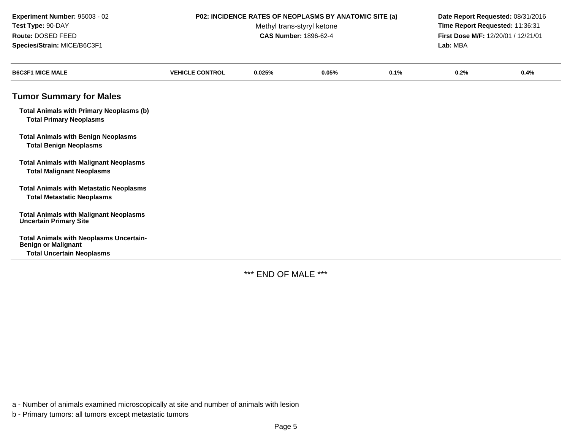| Experiment Number: 95003 - 02<br>Test Type: 90-DAY<br>Route: DOSED FEED<br>Species/Strain: MICE/B6C3F1           | P02: INCIDENCE RATES OF NEOPLASMS BY ANATOMIC SITE (a)<br>Date Report Requested: 08/31/2016<br>Time Report Requested: 11:36:31<br>Methyl trans-styryl ketone<br><b>CAS Number: 1896-62-4</b><br>First Dose M/F: 12/20/01 / 12/21/01<br>Lab: MBA |        |       |      |      |      |
|------------------------------------------------------------------------------------------------------------------|-------------------------------------------------------------------------------------------------------------------------------------------------------------------------------------------------------------------------------------------------|--------|-------|------|------|------|
| <b>B6C3F1 MICE MALE</b>                                                                                          | <b>VEHICLE CONTROL</b>                                                                                                                                                                                                                          | 0.025% | 0.05% | 0.1% | 0.2% | 0.4% |
| <b>Tumor Summary for Males</b>                                                                                   |                                                                                                                                                                                                                                                 |        |       |      |      |      |
| <b>Total Animals with Primary Neoplasms (b)</b><br><b>Total Primary Neoplasms</b>                                |                                                                                                                                                                                                                                                 |        |       |      |      |      |
| <b>Total Animals with Benign Neoplasms</b><br><b>Total Benign Neoplasms</b>                                      |                                                                                                                                                                                                                                                 |        |       |      |      |      |
| <b>Total Animals with Malignant Neoplasms</b><br><b>Total Malignant Neoplasms</b>                                |                                                                                                                                                                                                                                                 |        |       |      |      |      |
| <b>Total Animals with Metastatic Neoplasms</b><br><b>Total Metastatic Neoplasms</b>                              |                                                                                                                                                                                                                                                 |        |       |      |      |      |
| <b>Total Animals with Malignant Neoplasms</b><br><b>Uncertain Primary Site</b>                                   |                                                                                                                                                                                                                                                 |        |       |      |      |      |
| <b>Total Animals with Neoplasms Uncertain-</b><br><b>Benign or Malignant</b><br><b>Total Uncertain Neoplasms</b> |                                                                                                                                                                                                                                                 |        |       |      |      |      |

\*\*\* END OF MALE \*\*\*

a - Number of animals examined microscopically at site and number of animals with lesion

b - Primary tumors: all tumors except metastatic tumors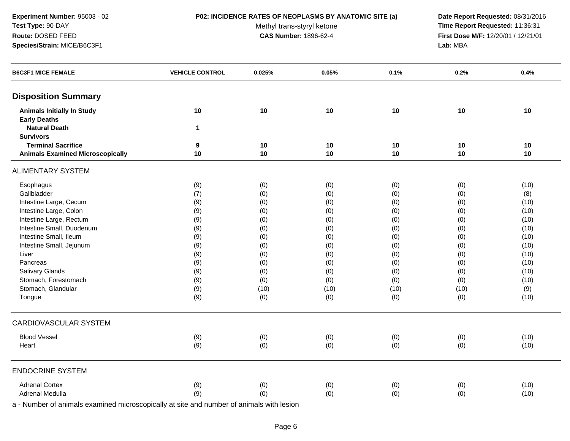**Experiment Number:** 95003 - 02**Test Type:** 90-DAY**Route:** DOSED FEED**Species/Strain:** MICE/B6C3F1

## **P02: INCIDENCE RATES OF NEOPLASMS BY ANATOMIC SITE (a) Date Report Requested:** 08/31/2016

Methyl trans-styryl ketone<br>CAS Number: 1896-62-4

 **Time Report Requested:** 11:36:31 **First Dose M/F:** 12/20/01 / 12/21/01<br>Lab: MBA **Lab:** MBA

| <b>B6C3F1 MICE FEMALE</b>               | <b>VEHICLE CONTROL</b> | 0.025% | 0.05% | 0.1% | 0.2% | 0.4% |
|-----------------------------------------|------------------------|--------|-------|------|------|------|
| <b>Disposition Summary</b>              |                        |        |       |      |      |      |
| <b>Animals Initially In Study</b>       | 10                     | $10$   | 10    | 10   | 10   | 10   |
| <b>Early Deaths</b>                     |                        |        |       |      |      |      |
| <b>Natural Death</b>                    | $\mathbf{1}$           |        |       |      |      |      |
| <b>Survivors</b>                        |                        |        |       |      |      |      |
| <b>Terminal Sacrifice</b>               | 9                      | 10     | 10    | 10   | 10   | 10   |
| <b>Animals Examined Microscopically</b> | 10                     | 10     | 10    | 10   | 10   | 10   |
| <b>ALIMENTARY SYSTEM</b>                |                        |        |       |      |      |      |
| Esophagus                               | (9)                    | (0)    | (0)   | (0)  | (0)  | (10) |
| Gallbladder                             | (7)                    | (0)    | (0)   | (0)  | (0)  | (8)  |
| Intestine Large, Cecum                  | (9)                    | (0)    | (0)   | (0)  | (0)  | (10) |
| Intestine Large, Colon                  | (9)                    | (0)    | (0)   | (0)  | (0)  | (10) |
| Intestine Large, Rectum                 | (9)                    | (0)    | (0)   | (0)  | (0)  | (10) |
| Intestine Small, Duodenum               | (9)                    | (0)    | (0)   | (0)  | (0)  | (10) |
| Intestine Small, Ileum                  | (9)                    | (0)    | (0)   | (0)  | (0)  | (10) |
| Intestine Small, Jejunum                | (9)                    | (0)    | (0)   | (0)  | (0)  | (10) |
| Liver                                   | (9)                    | (0)    | (0)   | (0)  | (0)  | (10) |
| Pancreas                                | (9)                    | (0)    | (0)   | (0)  | (0)  | (10) |
| Salivary Glands                         | (9)                    | (0)    | (0)   | (0)  | (0)  | (10) |
| Stomach, Forestomach                    | (9)                    | (0)    | (0)   | (0)  | (0)  | (10) |
| Stomach, Glandular                      | (9)                    | (10)   | (10)  | (10) | (10) | (9)  |
| Tongue                                  | (9)                    | (0)    | (0)   | (0)  | (0)  | (10) |
| CARDIOVASCULAR SYSTEM                   |                        |        |       |      |      |      |
| <b>Blood Vessel</b>                     | (9)                    | (0)    | (0)   | (0)  | (0)  | (10) |
| Heart                                   | (9)                    | (0)    | (0)   | (0)  | (0)  | (10) |
| <b>ENDOCRINE SYSTEM</b>                 |                        |        |       |      |      |      |
| <b>Adrenal Cortex</b>                   | (9)                    | (0)    | (0)   | (0)  | (0)  | (10) |
| Adrenal Medulla                         | (9)                    | (0)    | (0)   | (0)  | (0)  | (10) |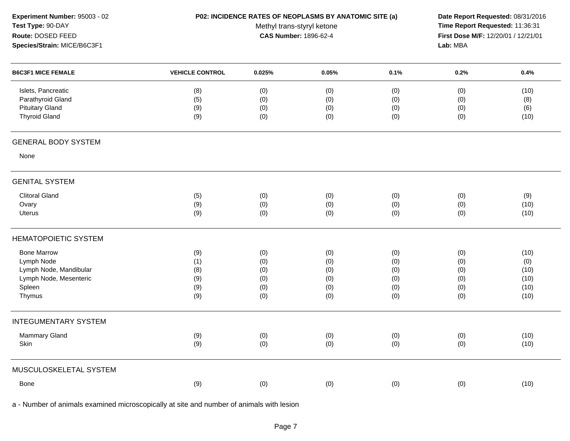| Experiment Number: 95003 - 02<br>Test Type: 90-DAY<br>Route: DOSED FEED<br>Species/Strain: MICE/B6C3F1 |                          | Methyl trans-styryl ketone<br><b>CAS Number: 1896-62-4</b> | P02: INCIDENCE RATES OF NEOPLASMS BY ANATOMIC SITE (a) |                          | Lab: MBA   | Date Report Requested: 08/31/2016<br>Time Report Requested: 11:36:31<br>First Dose M/F: 12/20/01 / 12/21/01<br>0.4%<br>0.2%<br>(10)<br>(0)<br>(0)<br>(8)<br>(0)<br>(6)<br>(10)<br>(0) |  |  |
|--------------------------------------------------------------------------------------------------------|--------------------------|------------------------------------------------------------|--------------------------------------------------------|--------------------------|------------|---------------------------------------------------------------------------------------------------------------------------------------------------------------------------------------|--|--|
| <b>B6C3F1 MICE FEMALE</b>                                                                              | <b>VEHICLE CONTROL</b>   | 0.025%                                                     | 0.05%                                                  | 0.1%                     |            |                                                                                                                                                                                       |  |  |
| Islets, Pancreatic<br>Parathyroid Gland<br><b>Pituitary Gland</b><br><b>Thyroid Gland</b>              | (8)<br>(5)<br>(9)<br>(9) | (0)<br>(0)<br>(0)<br>(0)                                   | (0)<br>(0)<br>(0)<br>(0)                               | (0)<br>(0)<br>(0)<br>(0) |            |                                                                                                                                                                                       |  |  |
| <b>GENERAL BODY SYSTEM</b>                                                                             |                          |                                                            |                                                        |                          |            |                                                                                                                                                                                       |  |  |
| None                                                                                                   |                          |                                                            |                                                        |                          |            |                                                                                                                                                                                       |  |  |
| <b>GENITAL SYSTEM</b>                                                                                  |                          |                                                            |                                                        |                          |            |                                                                                                                                                                                       |  |  |
| <b>Clitoral Gland</b>                                                                                  | (5)                      | (0)                                                        | (0)                                                    | (0)                      | (0)        | (9)                                                                                                                                                                                   |  |  |
| Ovary                                                                                                  | (9)                      | (0)                                                        | (0)                                                    | (0)                      | (0)        | (10)                                                                                                                                                                                  |  |  |
| <b>Uterus</b>                                                                                          | (9)                      | (0)                                                        | (0)                                                    | (0)                      | (0)        | (10)                                                                                                                                                                                  |  |  |
| <b>HEMATOPOIETIC SYSTEM</b>                                                                            |                          |                                                            |                                                        |                          |            |                                                                                                                                                                                       |  |  |
| <b>Bone Marrow</b>                                                                                     | (9)                      | (0)                                                        | (0)                                                    | (0)                      | (0)        | (10)                                                                                                                                                                                  |  |  |
| Lymph Node                                                                                             | (1)                      | (0)                                                        | (0)                                                    | (0)                      | (0)        | (0)                                                                                                                                                                                   |  |  |
| Lymph Node, Mandibular                                                                                 | (8)                      | (0)                                                        | (0)                                                    | (0)                      | (0)        | (10)                                                                                                                                                                                  |  |  |
| Lymph Node, Mesenteric                                                                                 | (9)                      | (0)                                                        | (0)                                                    | (0)                      | (0)        | (10)                                                                                                                                                                                  |  |  |
| Spleen<br>Thymus                                                                                       | (9)<br>(9)               | (0)<br>(0)                                                 | (0)<br>(0)                                             | (0)<br>(0)               | (0)<br>(0) | (10)<br>(10)                                                                                                                                                                          |  |  |
| <b>INTEGUMENTARY SYSTEM</b>                                                                            |                          |                                                            |                                                        |                          |            |                                                                                                                                                                                       |  |  |
| Mammary Gland                                                                                          | (9)                      | (0)                                                        | (0)                                                    | (0)                      | (0)        | (10)                                                                                                                                                                                  |  |  |
| Skin                                                                                                   | (9)                      | (0)                                                        | (0)                                                    | (0)                      | (0)        | (10)                                                                                                                                                                                  |  |  |
| MUSCULOSKELETAL SYSTEM                                                                                 |                          |                                                            |                                                        |                          |            |                                                                                                                                                                                       |  |  |
| Bone                                                                                                   | (9)                      | (0)                                                        | (0)                                                    | (0)                      | (0)        | (10)                                                                                                                                                                                  |  |  |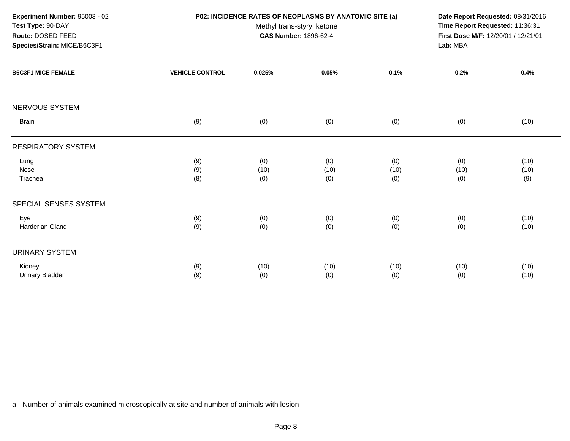| Experiment Number: 95003 - 02<br>Test Type: 90-DAY<br>Route: DOSED FEED<br>Species/Strain: MICE/B6C3F1 |                        | P02: INCIDENCE RATES OF NEOPLASMS BY ANATOMIC SITE (a)<br>Methyl trans-styryl ketone<br><b>CAS Number: 1896-62-4</b> |       |      |      | Date Report Requested: 08/31/2016<br>Time Report Requested: 11:36:31<br>First Dose M/F: 12/20/01 / 12/21/01<br>Lab: MBA |  |
|--------------------------------------------------------------------------------------------------------|------------------------|----------------------------------------------------------------------------------------------------------------------|-------|------|------|-------------------------------------------------------------------------------------------------------------------------|--|
| <b>B6C3F1 MICE FEMALE</b>                                                                              | <b>VEHICLE CONTROL</b> | 0.025%                                                                                                               | 0.05% | 0.1% | 0.2% | 0.4%                                                                                                                    |  |
| NERVOUS SYSTEM                                                                                         |                        |                                                                                                                      |       |      |      |                                                                                                                         |  |
| <b>Brain</b>                                                                                           | (9)                    | (0)                                                                                                                  | (0)   | (0)  | (0)  | (10)                                                                                                                    |  |
| <b>RESPIRATORY SYSTEM</b>                                                                              |                        |                                                                                                                      |       |      |      |                                                                                                                         |  |
| Lung                                                                                                   | (9)                    | (0)                                                                                                                  | (0)   | (0)  | (0)  | (10)                                                                                                                    |  |
| Nose                                                                                                   | (9)                    | (10)                                                                                                                 | (10)  | (10) | (10) | (10)                                                                                                                    |  |
| Trachea                                                                                                | (8)                    | (0)                                                                                                                  | (0)   | (0)  | (0)  | (9)                                                                                                                     |  |
| SPECIAL SENSES SYSTEM                                                                                  |                        |                                                                                                                      |       |      |      |                                                                                                                         |  |
| Eye                                                                                                    | (9)                    | (0)                                                                                                                  | (0)   | (0)  | (0)  | (10)                                                                                                                    |  |
| Harderian Gland                                                                                        | (9)                    | (0)                                                                                                                  | (0)   | (0)  | (0)  | (10)                                                                                                                    |  |
| <b>URINARY SYSTEM</b>                                                                                  |                        |                                                                                                                      |       |      |      |                                                                                                                         |  |
| Kidney                                                                                                 | (9)                    | (10)                                                                                                                 | (10)  | (10) | (10) | (10)                                                                                                                    |  |
| <b>Urinary Bladder</b>                                                                                 | (9)                    | (0)                                                                                                                  | (0)   | (0)  | (0)  | (10)                                                                                                                    |  |
|                                                                                                        |                        |                                                                                                                      |       |      |      |                                                                                                                         |  |